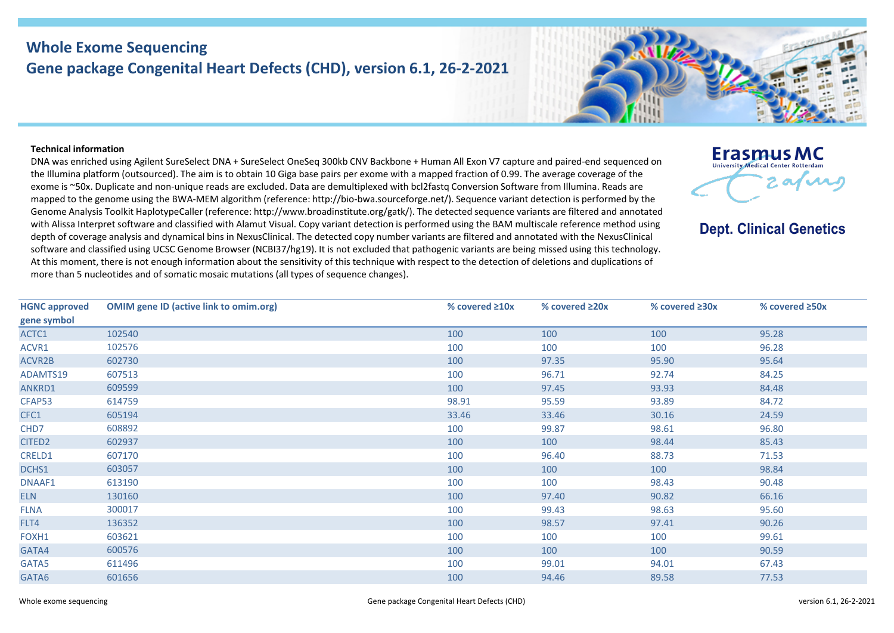## **Whole Exome Sequencing Gene package Congenital Heart Defects (CHD), version 6.1, 26-2-2021**

## **Technical information**

DNA was enriched using Agilent SureSelect DNA + SureSelect OneSeq 300kb CNV Backbone + Human All Exon V7 capture and paired-end sequenced on the Illumina platform (outsourced). The aim is to obtain 10 Giga base pairs per exome with a mapped fraction of 0.99. The average coverage of the exome is ~50x. Duplicate and non-unique reads are excluded. Data are demultiplexed with bcl2fastq Conversion Software from Illumina. Reads are mapped to the genome using the BWA-MEM algorithm (reference: http://bio-bwa.sourceforge.net/). Sequence variant detection is performed by the Genome Analysis Toolkit HaplotypeCaller (reference: http://www.broadinstitute.org/gatk/). The detected sequence variants are filtered and annotated with Alissa Interpret software and classified with Alamut Visual. Copy variant detection is performed using the BAM multiscale reference method using depth of coverage analysis and dynamical bins in NexusClinical. The detected copy number variants are filtered and annotated with the NexusClinical software and classified using UCSC Genome Browser (NCBI37/hg19). It is not excluded that pathogenic variants are being missed using this technology. At this moment, there is not enough information about the sensitivity of this technique with respect to the detection of deletions and duplications of more than 5 nucleotides and of somatic mosaic mutations (all types of sequence changes).



**Dept. Clinical Genetics** 

| <b>HGNC approved</b> | <b>OMIM gene ID (active link to omim.org)</b> | % covered $\geq 10x$ | % covered $\geq 20x$ | % covered $\geq 30x$ | % covered ≥50x |
|----------------------|-----------------------------------------------|----------------------|----------------------|----------------------|----------------|
| gene symbol          |                                               |                      |                      |                      |                |
| ACTC1                | 102540                                        | 100                  | 100                  | 100                  | 95.28          |
| ACVR1                | 102576                                        | 100                  | 100                  | 100                  | 96.28          |
| ACVR2B               | 602730                                        | 100                  | 97.35                | 95.90                | 95.64          |
| ADAMTS19             | 607513                                        | 100                  | 96.71                | 92.74                | 84.25          |
| ANKRD1               | 609599                                        | 100                  | 97.45                | 93.93                | 84.48          |
| CFAP53               | 614759                                        | 98.91                | 95.59                | 93.89                | 84.72          |
| CFC1                 | 605194                                        | 33.46                | 33.46                | 30.16                | 24.59          |
| CHD7                 | 608892                                        | 100                  | 99.87                | 98.61                | 96.80          |
| CITED <sub>2</sub>   | 602937                                        | 100                  | 100                  | 98.44                | 85.43          |
| CRELD1               | 607170                                        | 100                  | 96.40                | 88.73                | 71.53          |
| DCHS1                | 603057                                        | 100                  | 100                  | 100                  | 98.84          |
| DNAAF1               | 613190                                        | 100                  | 100                  | 98.43                | 90.48          |
| <b>ELN</b>           | 130160                                        | 100                  | 97.40                | 90.82                | 66.16          |
| <b>FLNA</b>          | 300017                                        | 100                  | 99.43                | 98.63                | 95.60          |
| FLT4                 | 136352                                        | 100                  | 98.57                | 97.41                | 90.26          |
| FOXH1                | 603621                                        | 100                  | 100                  | 100                  | 99.61          |
| GATA4                | 600576                                        | 100                  | 100                  | 100                  | 90.59          |
| GATA5                | 611496                                        | 100                  | 99.01                | 94.01                | 67.43          |
| GATA6                | 601656                                        | 100                  | 94.46                | 89.58                | 77.53          |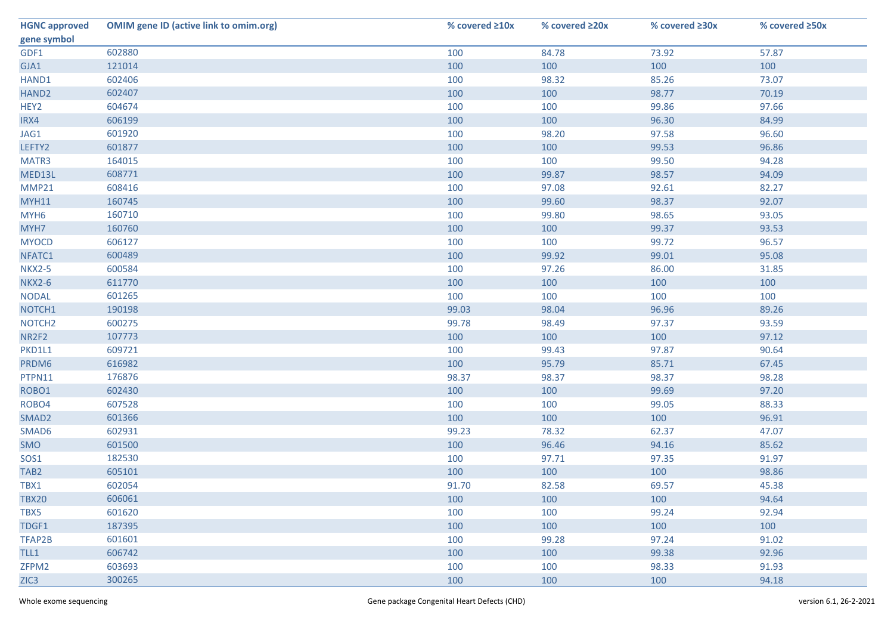| <b>HGNC approved</b> | <b>OMIM gene ID (active link to omim.org)</b> | % covered $\geq 10x$ | % covered ≥20x | % covered ≥30x | % covered ≥50x |
|----------------------|-----------------------------------------------|----------------------|----------------|----------------|----------------|
| gene symbol          |                                               |                      |                |                |                |
| GDF1                 | 602880                                        | 100                  | 84.78          | 73.92          | 57.87          |
| GJA1                 | 121014                                        | 100                  | 100            | 100            | 100            |
| HAND1                | 602406                                        | 100                  | 98.32          | 85.26          | 73.07          |
| HAND <sub>2</sub>    | 602407                                        | 100                  | 100            | 98.77          | 70.19          |
| HEY2                 | 604674                                        | 100                  | 100            | 99.86          | 97.66          |
| IRX4                 | 606199                                        | 100                  | 100            | 96.30          | 84.99          |
| JAG1                 | 601920                                        | 100                  | 98.20          | 97.58          | 96.60          |
| LEFTY2               | 601877                                        | 100                  | 100            | 99.53          | 96.86          |
| MATR3                | 164015                                        | 100                  | 100            | 99.50          | 94.28          |
| MED13L               | 608771                                        | 100                  | 99.87          | 98.57          | 94.09          |
| MMP21                | 608416                                        | 100                  | 97.08          | 92.61          | 82.27          |
| <b>MYH11</b>         | 160745                                        | 100                  | 99.60          | 98.37          | 92.07          |
| MYH <sub>6</sub>     | 160710                                        | 100                  | 99.80          | 98.65          | 93.05          |
| MYH7                 | 160760                                        | 100                  | 100            | 99.37          | 93.53          |
| <b>MYOCD</b>         | 606127                                        | 100                  | 100            | 99.72          | 96.57          |
| NFATC1               | 600489                                        | 100                  | 99.92          | 99.01          | 95.08          |
| <b>NKX2-5</b>        | 600584                                        | 100                  | 97.26          | 86.00          | 31.85          |
| <b>NKX2-6</b>        | 611770                                        | 100                  | 100            | 100            | 100            |
| <b>NODAL</b>         | 601265                                        | 100                  | 100            | 100            | 100            |
| NOTCH1               | 190198                                        | 99.03                | 98.04          | 96.96          | 89.26          |
| NOTCH <sub>2</sub>   | 600275                                        | 99.78                | 98.49          | 97.37          | 93.59          |
| NR2F2                | 107773                                        | 100                  | 100            | 100            | 97.12          |
| PKD1L1               | 609721                                        | 100                  | 99.43          | 97.87          | 90.64          |
| PRDM6                | 616982                                        | 100                  | 95.79          | 85.71          | 67.45          |
| PTPN11               | 176876                                        | 98.37                | 98.37          | 98.37          | 98.28          |
| ROBO1                | 602430                                        | 100                  | 100            | 99.69          | 97.20          |
| ROBO4                | 607528                                        | 100                  | 100            | 99.05          | 88.33          |
| SMAD <sub>2</sub>    | 601366                                        | 100                  | 100            | 100            | 96.91          |
| SMAD6                | 602931                                        | 99.23                | 78.32          | 62.37          | 47.07          |
| SMO                  | 601500                                        | 100                  | 96.46          | 94.16          | 85.62          |
| SOS1                 | 182530                                        | 100                  | 97.71          | 97.35          | 91.97          |
| TAB <sub>2</sub>     | 605101                                        | 100                  | 100            | 100            | 98.86          |
| TBX1                 | 602054                                        | 91.70                | 82.58          | 69.57          | 45.38          |
| <b>TBX20</b>         | 606061                                        | 100                  | 100            | 100            | 94.64          |
| TBX5                 | 601620                                        | 100                  | 100            | 99.24          | 92.94          |
| TDGF1                | 187395                                        | 100                  | 100            | 100            | 100            |
| TFAP2B               | 601601                                        | 100                  | 99.28          | 97.24          | 91.02          |
| TLL1                 | 606742                                        | 100                  | 100            | 99.38          | 92.96          |
| ZFPM2                | 603693                                        | 100                  | 100            | 98.33          | 91.93          |
| ZIC <sub>3</sub>     | 300265                                        | 100                  | 100            | 100            | 94.18          |